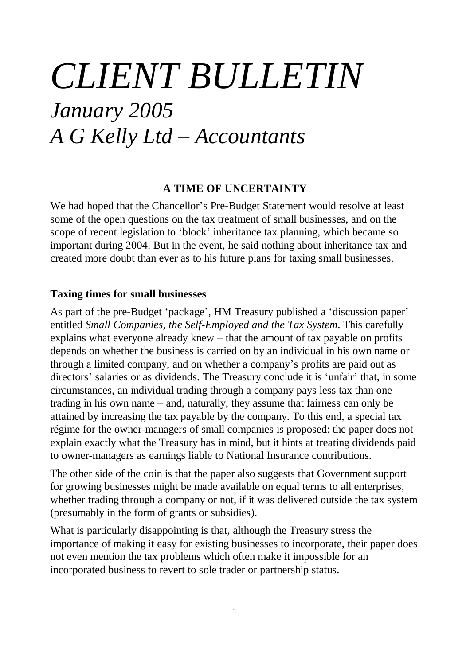# *CLIENT BULLETIN January 2005 A G Kelly Ltd – Accountants*

#### **A TIME OF UNCERTAINTY**

We had hoped that the Chancellor's Pre-Budget Statement would resolve at least some of the open questions on the tax treatment of small businesses, and on the scope of recent legislation to 'block' inheritance tax planning, which became so important during 2004. But in the event, he said nothing about inheritance tax and created more doubt than ever as to his future plans for taxing small businesses.

#### **Taxing times for small businesses**

As part of the pre-Budget 'package', HM Treasury published a 'discussion paper' entitled *Small Companies, the Self-Employed and the Tax System*. This carefully explains what everyone already knew – that the amount of tax payable on profits depends on whether the business is carried on by an individual in his own name or through a limited company, and on whether a company's profits are paid out as directors' salaries or as dividends. The Treasury conclude it is 'unfair' that, in some circumstances, an individual trading through a company pays less tax than one trading in his own name – and, naturally, they assume that fairness can only be attained by increasing the tax payable by the company. To this end, a special tax régime for the owner-managers of small companies is proposed: the paper does not explain exactly what the Treasury has in mind, but it hints at treating dividends paid to owner-managers as earnings liable to National Insurance contributions.

The other side of the coin is that the paper also suggests that Government support for growing businesses might be made available on equal terms to all enterprises, whether trading through a company or not, if it was delivered outside the tax system (presumably in the form of grants or subsidies).

What is particularly disappointing is that, although the Treasury stress the importance of making it easy for existing businesses to incorporate, their paper does not even mention the tax problems which often make it impossible for an incorporated business to revert to sole trader or partnership status.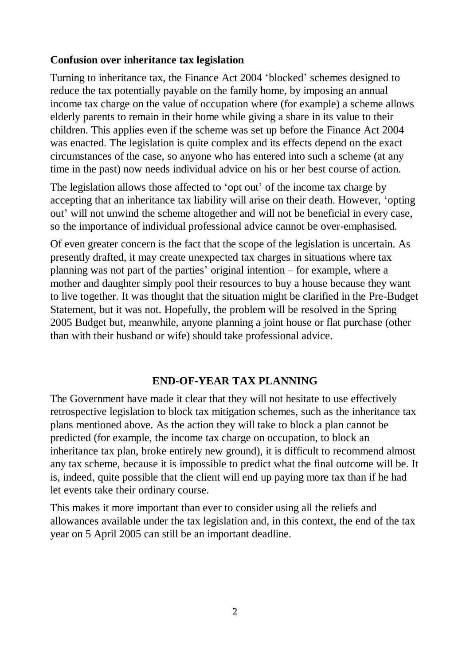#### **Confusion over inheritance tax legislation**

Turning to inheritance tax, the Finance Act 2004 'blocked' schemes designed to reduce the tax potentially payable on the family home, by imposing an annual income tax charge on the value of occupation where (for example) a scheme allows elderly parents to remain in their home while giving a share in its value to their children. This applies even if the scheme was set up before the Finance Act 2004 was enacted. The legislation is quite complex and its effects depend on the exact circumstances of the case, so anyone who has entered into such a scheme (at any time in the past) now needs individual advice on his or her best course of action.

The legislation allows those affected to 'opt out' of the income tax charge by accepting that an inheritance tax liability will arise on their death. However, 'opting out' will not unwind the scheme altogether and will not be beneficial in every case, so the importance of individual professional advice cannot be over-emphasised.

Of even greater concern is the fact that the scope of the legislation is uncertain. As presently drafted, it may create unexpected tax charges in situations where tax planning was not part of the parties' original intention – for example, where a mother and daughter simply pool their resources to buy a house because they want to live together. It was thought that the situation might be clarified in the Pre-Budget Statement, but it was not. Hopefully, the problem will be resolved in the Spring 2005 Budget but, meanwhile, anyone planning a joint house or flat purchase (other than with their husband or wife) should take professional advice.

### **END-OF-YEAR TAX PLANNING**

The Government have made it clear that they will not hesitate to use effectively retrospective legislation to block tax mitigation schemes, such as the inheritance tax plans mentioned above. As the action they will take to block a plan cannot be predicted (for example, the income tax charge on occupation, to block an inheritance tax plan, broke entirely new ground), it is difficult to recommend almost any tax scheme, because it is impossible to predict what the final outcome will be. It is, indeed, quite possible that the client will end up paying more tax than if he had let events take their ordinary course.

This makes it more important than ever to consider using all the reliefs and allowances available under the tax legislation and, in this context, the end of the tax year on 5 April 2005 can still be an important deadline.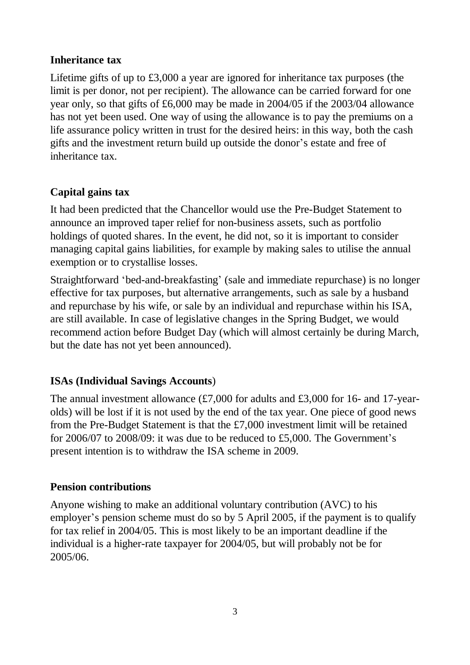## **Inheritance tax**

Lifetime gifts of up to £3,000 a year are ignored for inheritance tax purposes (the limit is per donor, not per recipient). The allowance can be carried forward for one year only, so that gifts of £6,000 may be made in 2004/05 if the 2003/04 allowance has not yet been used. One way of using the allowance is to pay the premiums on a life assurance policy written in trust for the desired heirs: in this way, both the cash gifts and the investment return build up outside the donor's estate and free of inheritance tax.

# **Capital gains tax**

It had been predicted that the Chancellor would use the Pre-Budget Statement to announce an improved taper relief for non-business assets, such as portfolio holdings of quoted shares. In the event, he did not, so it is important to consider managing capital gains liabilities, for example by making sales to utilise the annual exemption or to crystallise losses.

Straightforward 'bed-and-breakfasting' (sale and immediate repurchase) is no longer effective for tax purposes, but alternative arrangements, such as sale by a husband and repurchase by his wife, or sale by an individual and repurchase within his ISA, are still available. In case of legislative changes in the Spring Budget, we would recommend action before Budget Day (which will almost certainly be during March, but the date has not yet been announced).

## **ISAs (Individual Savings Accounts**)

The annual investment allowance  $(\text{\textsterling}7,000)$  for adults and  $\text{\textsterling}3,000$  for 16- and 17-yearolds) will be lost if it is not used by the end of the tax year. One piece of good news from the Pre-Budget Statement is that the £7,000 investment limit will be retained for 2006/07 to 2008/09: it was due to be reduced to £5,000. The Government's present intention is to withdraw the ISA scheme in 2009.

## **Pension contributions**

Anyone wishing to make an additional voluntary contribution (AVC) to his employer's pension scheme must do so by 5 April 2005, if the payment is to qualify for tax relief in 2004/05. This is most likely to be an important deadline if the individual is a higher-rate taxpayer for 2004/05, but will probably not be for 2005/06.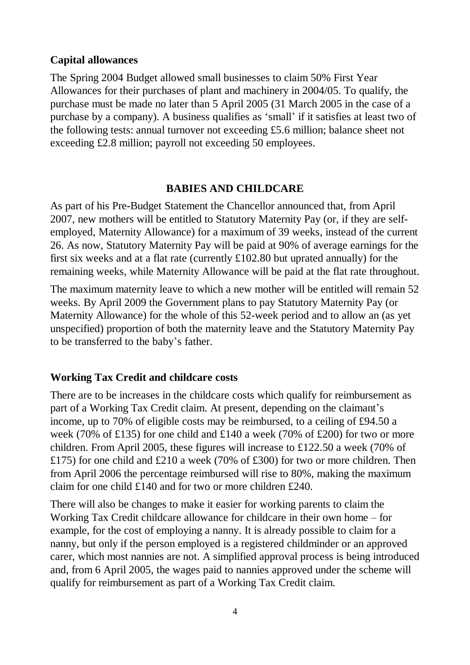#### **Capital allowances**

The Spring 2004 Budget allowed small businesses to claim 50% First Year Allowances for their purchases of plant and machinery in 2004/05. To qualify, the purchase must be made no later than 5 April 2005 (31 March 2005 in the case of a purchase by a company). A business qualifies as 'small' if it satisfies at least two of the following tests: annual turnover not exceeding £5.6 million; balance sheet not exceeding £2.8 million; payroll not exceeding 50 employees.

### **BABIES AND CHILDCARE**

As part of his Pre-Budget Statement the Chancellor announced that, from April 2007, new mothers will be entitled to Statutory Maternity Pay (or, if they are selfemployed, Maternity Allowance) for a maximum of 39 weeks, instead of the current 26. As now, Statutory Maternity Pay will be paid at 90% of average earnings for the first six weeks and at a flat rate (currently £102.80 but uprated annually) for the remaining weeks, while Maternity Allowance will be paid at the flat rate throughout.

The maximum maternity leave to which a new mother will be entitled will remain 52 weeks. By April 2009 the Government plans to pay Statutory Maternity Pay (or Maternity Allowance) for the whole of this 52-week period and to allow an (as yet unspecified) proportion of both the maternity leave and the Statutory Maternity Pay to be transferred to the baby's father.

### **Working Tax Credit and childcare costs**

There are to be increases in the childcare costs which qualify for reimbursement as part of a Working Tax Credit claim. At present, depending on the claimant's income, up to 70% of eligible costs may be reimbursed, to a ceiling of £94.50 a week (70% of £135) for one child and £140 a week (70% of £200) for two or more children. From April 2005, these figures will increase to £122.50 a week (70% of £175) for one child and £210 a week (70% of £300) for two or more children. Then from April 2006 the percentage reimbursed will rise to 80%, making the maximum claim for one child £140 and for two or more children £240.

There will also be changes to make it easier for working parents to claim the Working Tax Credit childcare allowance for childcare in their own home – for example, for the cost of employing a nanny. It is already possible to claim for a nanny, but only if the person employed is a registered childminder or an approved carer, which most nannies are not. A simplified approval process is being introduced and, from 6 April 2005, the wages paid to nannies approved under the scheme will qualify for reimbursement as part of a Working Tax Credit claim.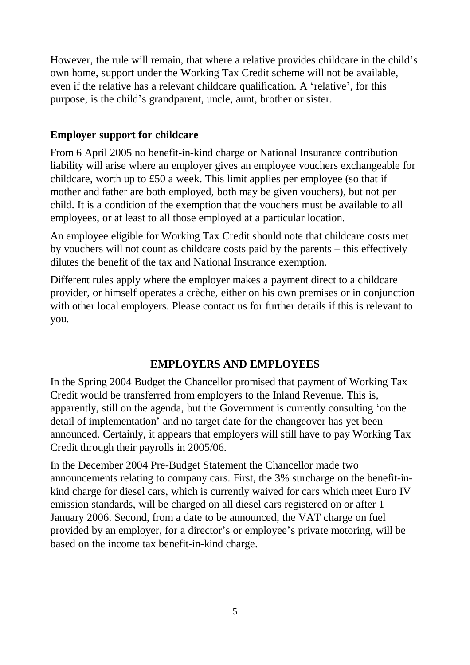However, the rule will remain, that where a relative provides childcare in the child's own home, support under the Working Tax Credit scheme will not be available, even if the relative has a relevant childcare qualification. A 'relative', for this purpose, is the child's grandparent, uncle, aunt, brother or sister.

## **Employer support for childcare**

From 6 April 2005 no benefit-in-kind charge or National Insurance contribution liability will arise where an employer gives an employee vouchers exchangeable for childcare, worth up to £50 a week. This limit applies per employee (so that if mother and father are both employed, both may be given vouchers), but not per child. It is a condition of the exemption that the vouchers must be available to all employees, or at least to all those employed at a particular location.

An employee eligible for Working Tax Credit should note that childcare costs met by vouchers will not count as childcare costs paid by the parents – this effectively dilutes the benefit of the tax and National Insurance exemption.

Different rules apply where the employer makes a payment direct to a childcare provider, or himself operates a crèche, either on his own premises or in conjunction with other local employers. Please contact us for further details if this is relevant to you.

## **EMPLOYERS AND EMPLOYEES**

In the Spring 2004 Budget the Chancellor promised that payment of Working Tax Credit would be transferred from employers to the Inland Revenue. This is, apparently, still on the agenda, but the Government is currently consulting 'on the detail of implementation' and no target date for the changeover has yet been announced. Certainly, it appears that employers will still have to pay Working Tax Credit through their payrolls in 2005/06.

In the December 2004 Pre-Budget Statement the Chancellor made two announcements relating to company cars. First, the 3% surcharge on the benefit-inkind charge for diesel cars, which is currently waived for cars which meet Euro IV emission standards, will be charged on all diesel cars registered on or after 1 January 2006. Second, from a date to be announced, the VAT charge on fuel provided by an employer, for a director's or employee's private motoring, will be based on the income tax benefit-in-kind charge.